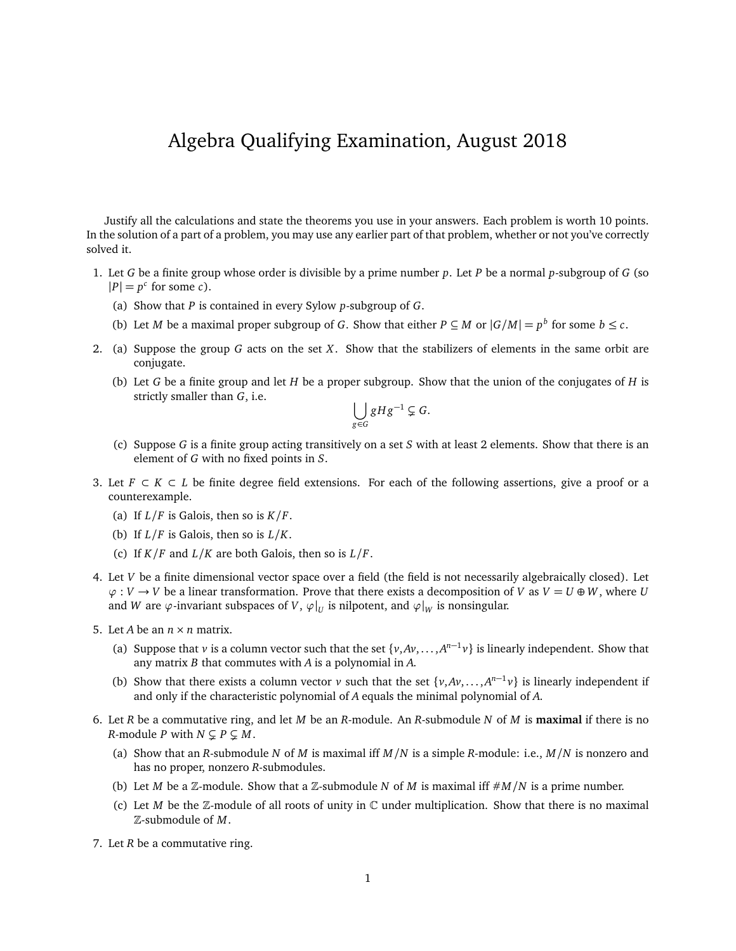## Algebra Qualifying Examination, August 2018

Justify all the calculations and state the theorems you use in your answers. Each problem is worth 10 points. In the solution of a part of a problem, you may use any earlier part of that problem, whether or not you've correctly solved it.

- 1. Let *G* be a finite group whose order is divisible by a prime number *p*. Let *P* be a normal *p*-subgroup of *G* (so  $|P| = p^c$  for some *c*).
	- (a) Show that *P* is contained in every Sylow *p*-subgroup of *G*.
	- (b) Let *M* be a maximal proper subgroup of *G*. Show that either  $P \subseteq M$  or  $|G/M| = p^b$  for some  $b \le c$ .
- 2. (a) Suppose the group *G* acts on the set *X*. Show that the stabilizers of elements in the same orbit are conjugate.
	- (b) Let *G* be a finite group and let *H* be a proper subgroup. Show that the union of the conjugates of *H* is strictly smaller than *G*, i.e.

$$
\bigcup_{g\in G}gHg^{-1}\subsetneq G.
$$

- (c) Suppose *G* is a finite group acting transitively on a set *S* with at least 2 elements. Show that there is an element of *G* with no fixed points in *S*.
- 3. Let  $F \subset K \subset L$  be finite degree field extensions. For each of the following assertions, give a proof or a counterexample.
	- (a) If  $L/F$  is Galois, then so is  $K/F$ .
	- (b) If *L/F* is Galois, then so is *L/K*.
	- (c) If  $K/F$  and  $L/K$  are both Galois, then so is  $L/F$ .
- 4. Let *V* be a finite dimensional vector space over a field (the field is not necessarily algebraically closed). Let  $\varphi: V \to V$  be a linear transformation. Prove that there exists a decomposition of *V* as  $V = U \oplus W$ , where *U* and *W* are  $\varphi$ -invariant subspaces of *V*,  $\varphi|_U$  is nilpotent, and  $\varphi|_W$  is nonsingular.
- 5. Let *A* be an  $n \times n$  matrix.
	- (a) Suppose that *v* is a column vector such that the set  $\{v, Av, ..., A^{n-1}v\}$  is linearly independent. Show that any matrix *B* that commutes with *A* is a polynomial in *A*.
	- (b) Show that there exists a column vector *v* such that the set  $\{v, Av, ..., A^{n-1}v\}$  is linearly independent if and only if the characteristic polynomial of *A* equals the minimal polynomial of *A*.
- 6. Let *R* be a commutative ring, and let *M* be an *R*-module. An *R*-submodule *N* of *M* is **maximal** if there is no *R*-module *P* with  $N \subsetneq P \subsetneq M$ .
	- (a) Show that an *R*-submodule *N* of *M* is maximal iff *M/N* is a simple *R*-module: i.e., *M/N* is nonzero and has no proper, nonzero *R*-submodules.
	- (b) Let *M* be a Z-module. Show that a Z-submodule *N* of *M* is maximal iff  $\#M/N$  is a prime number.
	- (c) Let *M* be the  $\mathbb{Z}$ -module of all roots of unity in  $\mathbb{C}$  under multiplication. Show that there is no maximal Z-submodule of *M*.
- 7. Let *R* be a commutative ring.